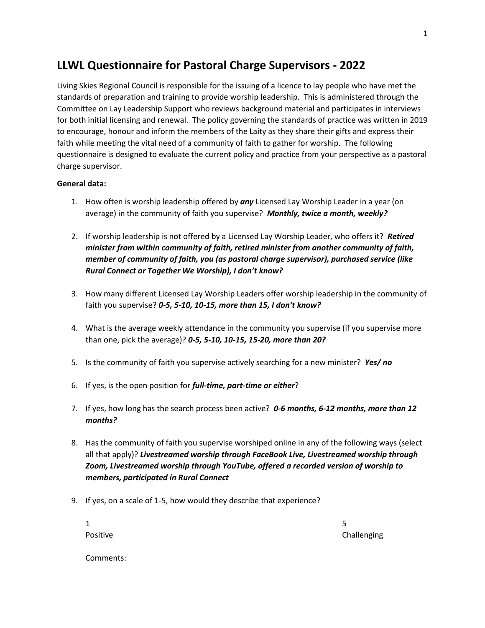# **LLWL Questionnaire for Pastoral Charge Supervisors - 2022**

Living Skies Regional Council is responsible for the issuing of a licence to lay people who have met the standards of preparation and training to provide worship leadership. This is administered through the Committee on Lay Leadership Support who reviews background material and participates in interviews for both initial licensing and renewal. The policy governing the standards of practice was written in 2019 to encourage, honour and inform the members of the Laity as they share their gifts and express their faith while meeting the vital need of a community of faith to gather for worship. The following questionnaire is designed to evaluate the current policy and practice from your perspective as a pastoral charge supervisor.

## **General data:**

- 1. How often is worship leadership offered by *any* Licensed Lay Worship Leader in a year (on average) in the community of faith you supervise? *Monthly, twice a month, weekly?*
- 2. If worship leadership is not offered by a Licensed Lay Worship Leader, who offers it? *Retired minister from within community of faith, retired minister from another community of faith, member of community of faith, you (as pastoral charge supervisor), purchased service (like Rural Connect or Together We Worship), I don't know?*
- 3. How many different Licensed Lay Worship Leaders offer worship leadership in the community of faith you supervise? *0-5, 5-10, 10-15, more than 15, I don't know?*
- 4. What is the average weekly attendance in the community you supervise (if you supervise more than one, pick the average)? *0-5, 5-10, 10-15, 15-20, more than 20?*
- 5. Is the community of faith you supervise actively searching for a new minister? *Yes/ no*
- 6. If yes, is the open position for *full-time, part-time or either*?
- 7. If yes, how long has the search process been active? *0-6 months, 6-12 months, more than 12 months?*
- 8. Has the community of faith you supervise worshiped online in any of the following ways (select all that apply)? *Livestreamed worship through FaceBook Live, Livestreamed worship through Zoom, Livestreamed worship through YouTube, offered a recorded version of worship to members, participated in Rural Connect*
- 9. If yes, on a scale of 1-5, how would they describe that experience?

| 1        | -<br>∍      |
|----------|-------------|
| Positive | Challenging |
|          |             |

| Comments: |  |
|-----------|--|
|-----------|--|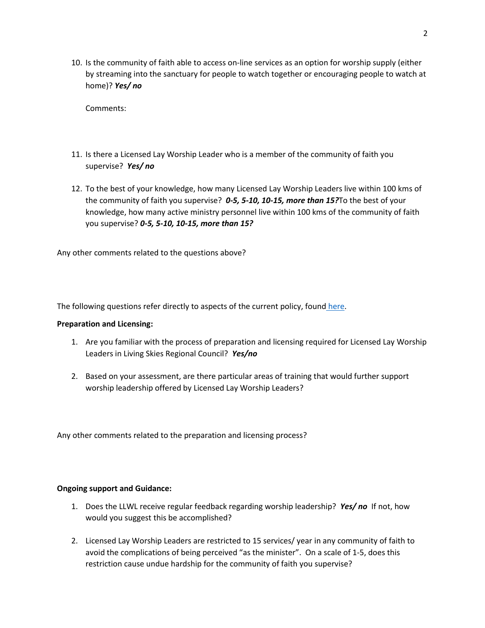10. Is the community of faith able to access on-line services as an option for worship supply (either by streaming into the sanctuary for people to watch together or encouraging people to watch at home)? *Yes/ no*

Comments:

- 11. Is there a Licensed Lay Worship Leader who is a member of the community of faith you supervise? *Yes/ no*
- 12. To the best of your knowledge, how many Licensed Lay Worship Leaders live within 100 kms of the community of faith you supervise? *0-5, 5-10, 10-15, more than 15?*To the best of your knowledge, how many active ministry personnel live within 100 kms of the community of faith you supervise? *0-5, 5-10, 10-15, more than 15?*

Any other comments related to the questions above?

The following questions refer directly to aspects of the current policy, found [here.](https://livingskiesrc.ca/wp-content/uploads/2021/09/LLWLpolicy-Sept21.pdf)

#### **Preparation and Licensing:**

- 1. Are you familiar with the process of preparation and licensing required for Licensed Lay Worship Leaders in Living Skies Regional Council? *Yes/no*
- 2. Based on your assessment, are there particular areas of training that would further support worship leadership offered by Licensed Lay Worship Leaders?

Any other comments related to the preparation and licensing process?

#### **Ongoing support and Guidance:**

- 1. Does the LLWL receive regular feedback regarding worship leadership? *Yes/ no* If not, how would you suggest this be accomplished?
- 2. Licensed Lay Worship Leaders are restricted to 15 services/ year in any community of faith to avoid the complications of being perceived "as the minister". On a scale of 1-5, does this restriction cause undue hardship for the community of faith you supervise?